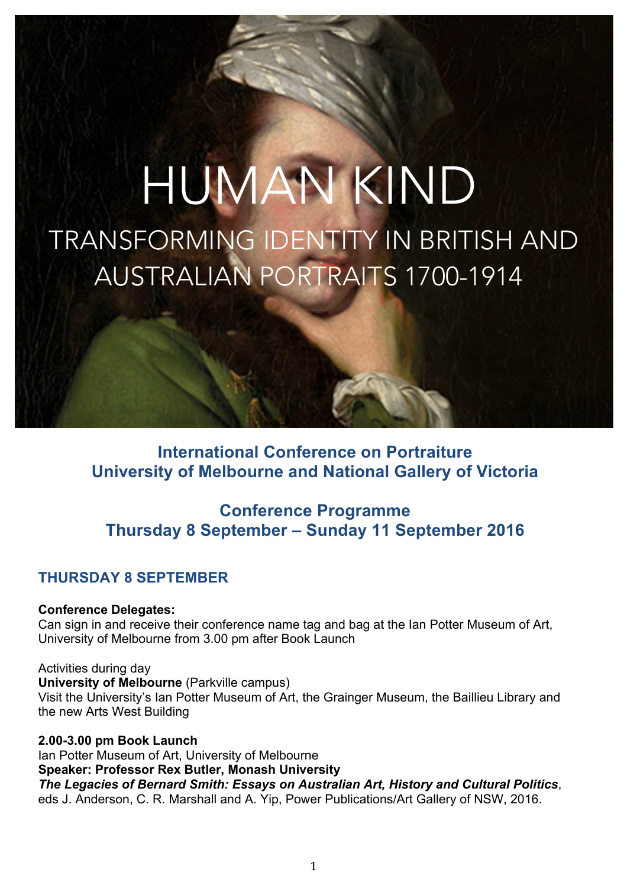# HUMAN KIND TRANSFORMING IDENTITY IN BRITISH AND AUSTRALIAN PORTRAITS 1700-1914

# **International Conference on Portraiture University of Melbourne and National Gallery of Victoria**

# **Conference Programme Thursday 8 September – Sunday 11 September 2016**

# **THURSDAY 8 SEPTEMBER**

**Conference Delegates:**

Can sign in and receive their conference name tag and bag at the Ian Potter Museum of Art, University of Melbourne from 3.00 pm after Book Launch

Activities during day

**University of Melbourne** (Parkville campus) Visit the University's Ian Potter Museum of Art, the Grainger Museum, the Baillieu Library and the new Arts West Building

**2.00-3.00 pm Book Launch** Ian Potter Museum of Art, University of Melbourne **Speaker: Professor Rex Butler, Monash University** *The Legacies of Bernard Smith: Essays on Australian Art, History and Cultural Politics*, eds J. Anderson, C. R. Marshall and A. Yip, Power Publications/Art Gallery of NSW, 2016.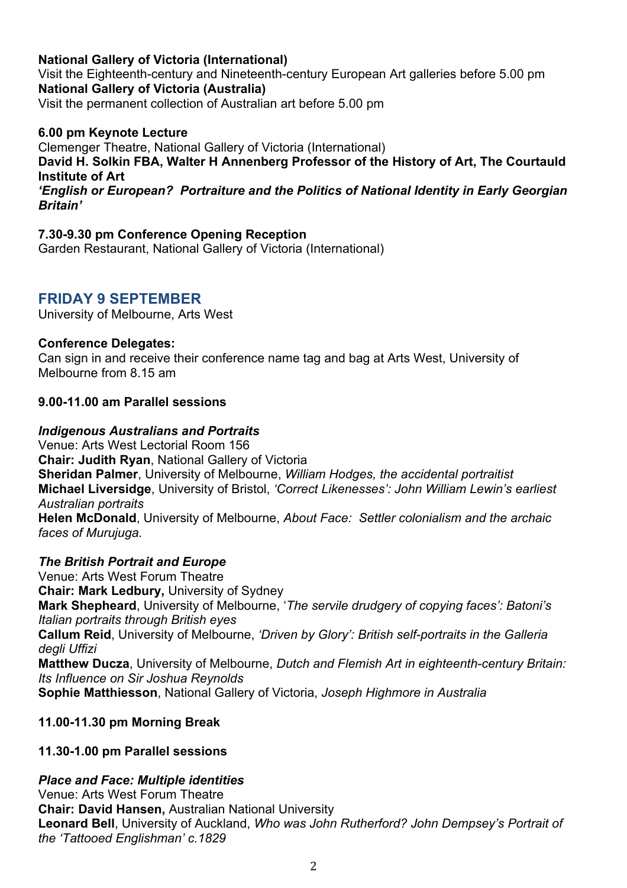#### **National Gallery of Victoria (International)**

Visit the Eighteenth-century and Nineteenth-century European Art galleries before 5.00 pm **National Gallery of Victoria (Australia)** Visit the permanent collection of Australian art before 5.00 pm

#### **6.00 pm Keynote Lecture**

Clemenger Theatre, National Gallery of Victoria (International)

**David H. Solkin FBA, Walter H Annenberg Professor of the History of Art, The Courtauld Institute of Art**

*'English or European? Portraiture and the Politics of National Identity in Early Georgian Britain'*

#### **7.30-9.30 pm Conference Opening Reception**

Garden Restaurant, National Gallery of Victoria (International)

## **FRIDAY 9 SEPTEMBER**

University of Melbourne, Arts West

#### **Conference Delegates:**

Can sign in and receive their conference name tag and bag at Arts West, University of Melbourne from 8.15 am

#### **9.00-11.00 am Parallel sessions**

#### *Indigenous Australians and Portraits*

Venue: Arts West Lectorial Room 156 **Chair: Judith Ryan**, National Gallery of Victoria **Sheridan Palmer**, University of Melbourne, *William Hodges, the accidental portraitist* **Michael Liversidge**, University of Bristol, *'Correct Likenesses': John William Lewin's earliest Australian portraits* **Helen McDonald**, University of Melbourne, *About Face: Settler colonialism and the archaic* 

*faces of Murujuga.*

#### *The British Portrait and Europe*

Venue: Arts West Forum Theatre **Chair: Mark Ledbury,** University of Sydney **Mark Shepheard**, University of Melbourne, '*The servile drudgery of copying faces': Batoni's Italian portraits through British eyes* **Callum Reid**, University of Melbourne, *'Driven by Glory': British self-portraits in the Galleria degli Uffizi* **Matthew Ducza**, University of Melbourne, *Dutch and Flemish Art in eighteenth-century Britain: Its Influence on Sir Joshua Reynolds* **Sophie Matthiesson**, National Gallery of Victoria, *Joseph Highmore in Australia*

#### **11.00-11.30 pm Morning Break**

#### **11.30-1.00 pm Parallel sessions**

#### *Place and Face: Multiple identities*

Venue: Arts West Forum Theatre **Chair: David Hansen,** Australian National University **Leonard Bell**, University of Auckland, *Who was John Rutherford? John Dempsey's Portrait of the 'Tattooed Englishman' c.1829*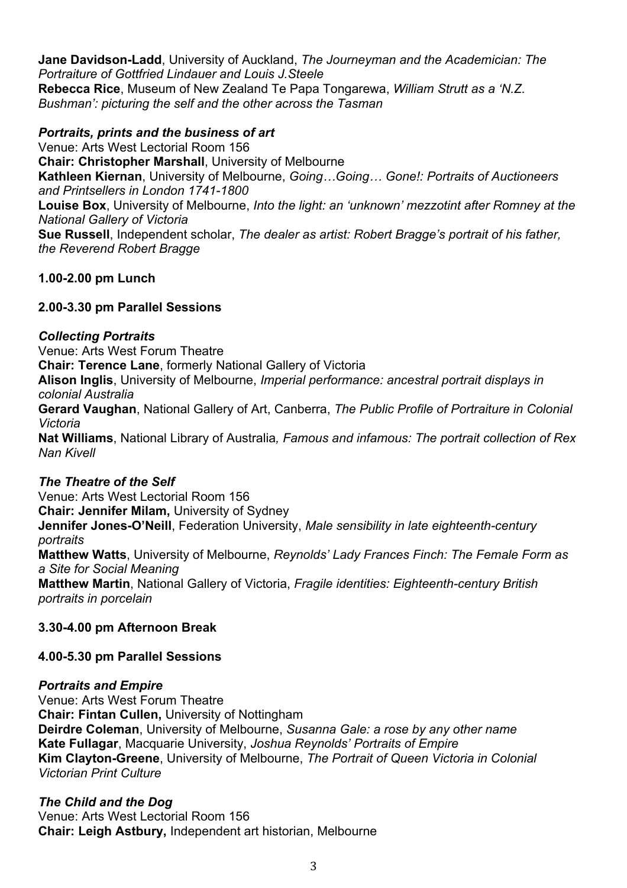**Jane Davidson-Ladd**, University of Auckland, *The Journeyman and the Academician: The Portraiture of Gottfried Lindauer and Louis J.Steele* **Rebecca Rice**, Museum of New Zealand Te Papa Tongarewa, *William Strutt as a 'N.Z. Bushman': picturing the self and the other across the Tasman*

#### *Portraits, prints and the business of art*

Venue: Arts West Lectorial Room 156 **Chair: Christopher Marshall**, University of Melbourne **Kathleen Kiernan**, University of Melbourne, *Going…Going… Gone!: Portraits of Auctioneers and Printsellers in London 1741-1800* **Louise Box**, University of Melbourne, *Into the light: an 'unknown' mezzotint after Romney at the National Gallery of Victoria* **Sue Russell**, Independent scholar, *The dealer as artist: Robert Bragge's portrait of his father, the Reverend Robert Bragge*

#### **1.00-2.00 pm Lunch**

#### **2.00-3.30 pm Parallel Sessions**

#### *Collecting Portraits*

Venue: Arts West Forum Theatre

**Chair: Terence Lane**, formerly National Gallery of Victoria

**Alison Inglis**, University of Melbourne, *Imperial performance: ancestral portrait displays in colonial Australia*

**Gerard Vaughan**, National Gallery of Art, Canberra, *The Public Profile of Portraiture in Colonial Victoria*

**Nat Williams**, National Library of Australia*, Famous and infamous: The portrait collection of Rex Nan Kivell*

#### *The Theatre of the Self*

Venue: Arts West Lectorial Room 156

**Chair: Jennifer Milam,** University of Sydney

**Jennifer Jones-O'Neill**, Federation University, *Male sensibility in late eighteenth-century portraits*

**Matthew Watts**, University of Melbourne, *Reynolds' Lady Frances Finch: The Female Form as a Site for Social Meaning*

**Matthew Martin**, National Gallery of Victoria, *Fragile identities: Eighteenth-century British portraits in porcelain*

#### **3.30-4.00 pm Afternoon Break**

#### **4.00-5.30 pm Parallel Sessions**

#### *Portraits and Empire*

Venue: Arts West Forum Theatre **Chair: Fintan Cullen,** University of Nottingham **Deirdre Coleman**, University of Melbourne, *Susanna Gale: a rose by any other name* **Kate Fullagar**, Macquarie University, *Joshua Reynolds' Portraits of Empire* **Kim Clayton-Greene**, University of Melbourne, *The Portrait of Queen Victoria in Colonial Victorian Print Culture*

#### *The Child and the Dog*

Venue: Arts West Lectorial Room 156 **Chair: Leigh Astbury,** Independent art historian, Melbourne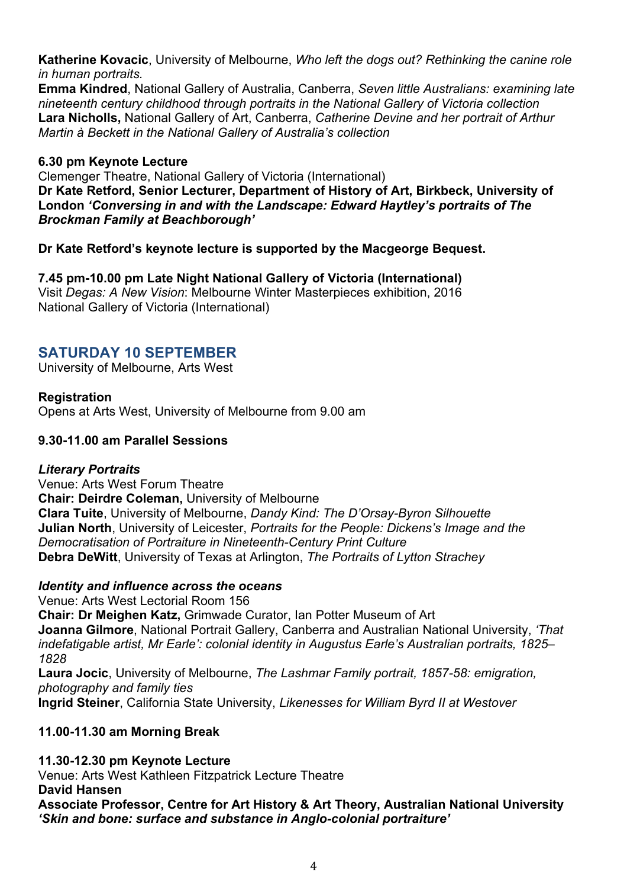**Katherine Kovacic**, University of Melbourne, *Who left the dogs out? Rethinking the canine role in human portraits.*

**Emma Kindred**, National Gallery of Australia, Canberra, *Seven little Australians: examining late nineteenth century childhood through portraits in the National Gallery of Victoria collection* **Lara Nicholls,** National Gallery of Art, Canberra, *Catherine Devine and her portrait of Arthur Martin à Beckett in the National Gallery of Australia's collection*

#### **6.30 pm Keynote Lecture**

Clemenger Theatre, National Gallery of Victoria (International) **Dr Kate Retford, Senior Lecturer, Department of History of Art, Birkbeck, University of London** *'Conversing in and with the Landscape: Edward Haytley's portraits of The Brockman Family at Beachborough'* 

#### **Dr Kate Retford's keynote lecture is supported by the Macgeorge Bequest.**

**7.45 pm-10.00 pm Late Night National Gallery of Victoria (International)** Visit *Degas: A New Vision*: Melbourne Winter Masterpieces exhibition, 2016 National Gallery of Victoria (International)

# **SATURDAY 10 SEPTEMBER**

University of Melbourne, Arts West

#### **Registration**

Opens at Arts West, University of Melbourne from 9.00 am

#### **9.30-11.00 am Parallel Sessions**

#### *Literary Portraits*

Venue: Arts West Forum Theatre **Chair: Deirdre Coleman,** University of Melbourne **Clara Tuite**, University of Melbourne, *Dandy Kind: The D'Orsay-Byron Silhouette* **Julian North**, University of Leicester, *Portraits for the People: Dickens's Image and the Democratisation of Portraiture in Nineteenth-Century Print Culture* **Debra DeWitt**, University of Texas at Arlington, *The Portraits of Lytton Strachey*

#### *Identity and influence across the oceans*

Venue: Arts West Lectorial Room 156 **Chair: Dr Meighen Katz,** Grimwade Curator, Ian Potter Museum of Art **Joanna Gilmore**, National Portrait Gallery, Canberra and Australian National University, *'That indefatigable artist, Mr Earle': colonial identity in Augustus Earle's Australian portraits, 1825– 1828*  **Laura Jocic**, University of Melbourne, *The Lashmar Family portrait, 1857-58: emigration, photography and family ties*

#### **Ingrid Steiner**, California State University, *Likenesses for William Byrd II at Westover*

#### **11.00-11.30 am Morning Break**

**11.30-12.30 pm Keynote Lecture** Venue: Arts West Kathleen Fitzpatrick Lecture Theatre **David Hansen Associate Professor, Centre for Art History & Art Theory, Australian National University** *'Skin and bone: surface and substance in Anglo-colonial portraiture'*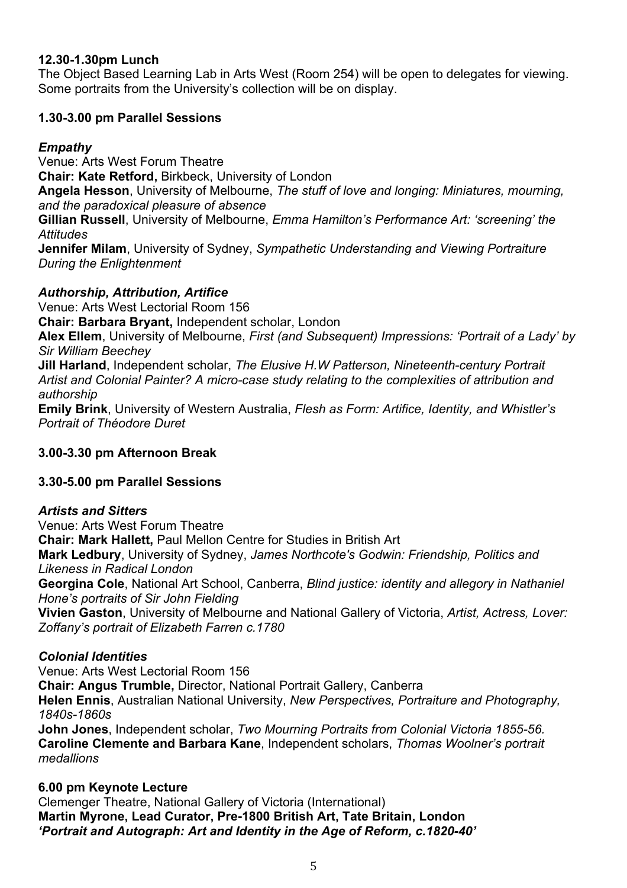#### **12.30-1.30pm Lunch**

The Object Based Learning Lab in Arts West (Room 254) will be open to delegates for viewing. Some portraits from the University's collection will be on display.

#### **1.30-3.00 pm Parallel Sessions**

#### *Empathy*

Venue: Arts West Forum Theatre **Chair: Kate Retford,** Birkbeck, University of London **Angela Hesson**, University of Melbourne, *The stuff of love and longing: Miniatures, mourning, and the paradoxical pleasure of absence* **Gillian Russell**, University of Melbourne, *Emma Hamilton's Performance Art: 'screening' the Attitudes* **Jennifer Milam**, University of Sydney, *Sympathetic Understanding and Viewing Portraiture During the Enlightenment*

#### *Authorship, Attribution, Artifice*

Venue: Arts West Lectorial Room 156

**Chair: Barbara Bryant,** Independent scholar, London

**Alex Ellem**, University of Melbourne, *First (and Subsequent) Impressions: 'Portrait of a Lady' by Sir William Beechey*

**Jill Harland**, Independent scholar, *The Elusive H.W Patterson, Nineteenth-century Portrait Artist and Colonial Painter? A micro-case study relating to the complexities of attribution and authorship*

**Emily Brink**, University of Western Australia, *Flesh as Form: Artifice, Identity, and Whistler's Portrait of Théodore Duret*

## **3.00-3.30 pm Afternoon Break**

#### **3.30-5.00 pm Parallel Sessions**

#### *Artists and Sitters*

Venue: Arts West Forum Theatre

**Chair: Mark Hallett,** Paul Mellon Centre for Studies in British Art

**Mark Ledbury**, University of Sydney, *James Northcote's Godwin: Friendship, Politics and Likeness in Radical London*

**Georgina Cole**, National Art School, Canberra, *Blind justice: identity and allegory in Nathaniel Hone's portraits of Sir John Fielding*

**Vivien Gaston**, University of Melbourne and National Gallery of Victoria, *Artist, Actress, Lover: Zoffany's portrait of Elizabeth Farren c.1780*

#### *Colonial Identities*

Venue: Arts West Lectorial Room 156

**Chair: Angus Trumble,** Director, National Portrait Gallery, Canberra

**Helen Ennis**, Australian National University, *New Perspectives, Portraiture and Photography, 1840s-1860s*

**John Jones**, Independent scholar, *Two Mourning Portraits from Colonial Victoria 1855-56.* **Caroline Clemente and Barbara Kane**, Independent scholars, *Thomas Woolner's portrait medallions*

#### **6.00 pm Keynote Lecture**

Clemenger Theatre, National Gallery of Victoria (International) **Martin Myrone, Lead Curator, Pre-1800 British Art, Tate Britain, London**  *'Portrait and Autograph: Art and Identity in the Age of Reform, c.1820-40'*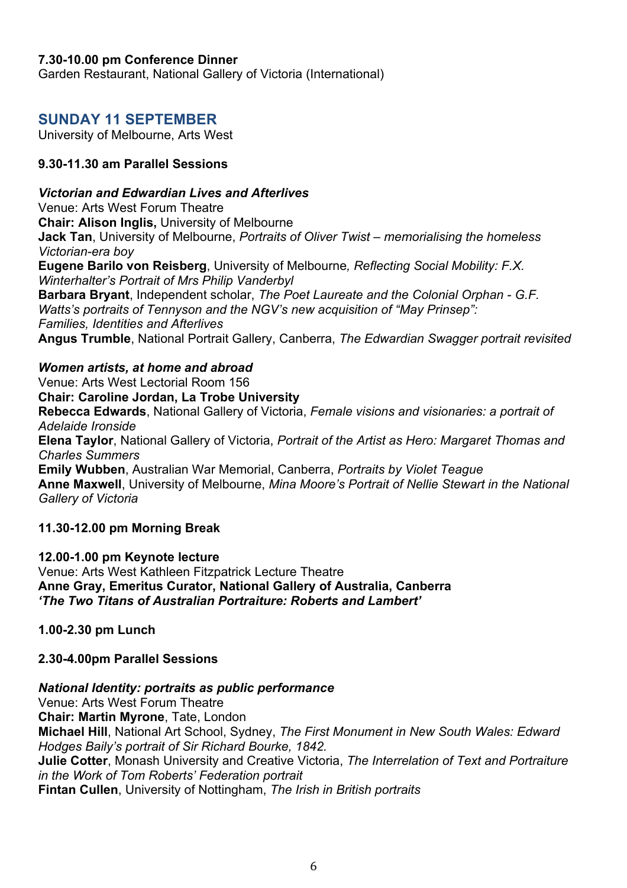#### **7.30-10.00 pm Conference Dinner**

Garden Restaurant, National Gallery of Victoria (International)

## **SUNDAY 11 SEPTEMBER**

University of Melbourne, Arts West

#### **9.30-11.30 am Parallel Sessions**

#### *Victorian and Edwardian Lives and Afterlives*

Venue: Arts West Forum Theatre **Chair: Alison Inglis,** University of Melbourne **Jack Tan**, University of Melbourne, *Portraits of Oliver Twist – memorialising the homeless Victorian-era boy* **Eugene Barilo von Reisberg**, University of Melbourne*, Reflecting Social Mobility: F.X. Winterhalter's Portrait of Mrs Philip Vanderbyl* **Barbara Bryant**, Independent scholar, *The Poet Laureate and the Colonial Orphan - G.F. Watts's portraits of Tennyson and the NGV's new acquisition of "May Prinsep":* 

*Families, Identities and Afterlives* 

**Angus Trumble**, National Portrait Gallery, Canberra, *The Edwardian Swagger portrait revisited*

*Women artists, at home and abroad*

Venue: Arts West Lectorial Room 156

**Chair: Caroline Jordan, La Trobe University**

**Rebecca Edwards**, National Gallery of Victoria, *Female visions and visionaries: a portrait of Adelaide Ironside* 

**Elena Taylor**, National Gallery of Victoria, *Portrait of the Artist as Hero: Margaret Thomas and Charles Summers*

**Emily Wubben**, Australian War Memorial, Canberra, *Portraits by Violet Teague* **Anne Maxwell**, University of Melbourne, *Mina Moore's Portrait of Nellie Stewart in the National Gallery of Victoria*

**11.30-12.00 pm Morning Break**

**12.00-1.00 pm Keynote lecture** Venue: Arts West Kathleen Fitzpatrick Lecture Theatre **Anne Gray, Emeritus Curator, National Gallery of Australia, Canberra**  *'The Two Titans of Australian Portraiture: Roberts and Lambert'*

**1.00-2.30 pm Lunch**

#### **2.30-4.00pm Parallel Sessions**

#### *National Identity: portraits as public performance*

Venue: Arts West Forum Theatre **Chair: Martin Myrone**, Tate, London **Michael Hill**, National Art School, Sydney, *The First Monument in New South Wales: Edward Hodges Baily's portrait of Sir Richard Bourke, 1842.* **Julie Cotter**, Monash University and Creative Victoria, *The Interrelation of Text and Portraiture in the Work of Tom Roberts' Federation portrait* **Fintan Cullen**, University of Nottingham, *The Irish in British portraits*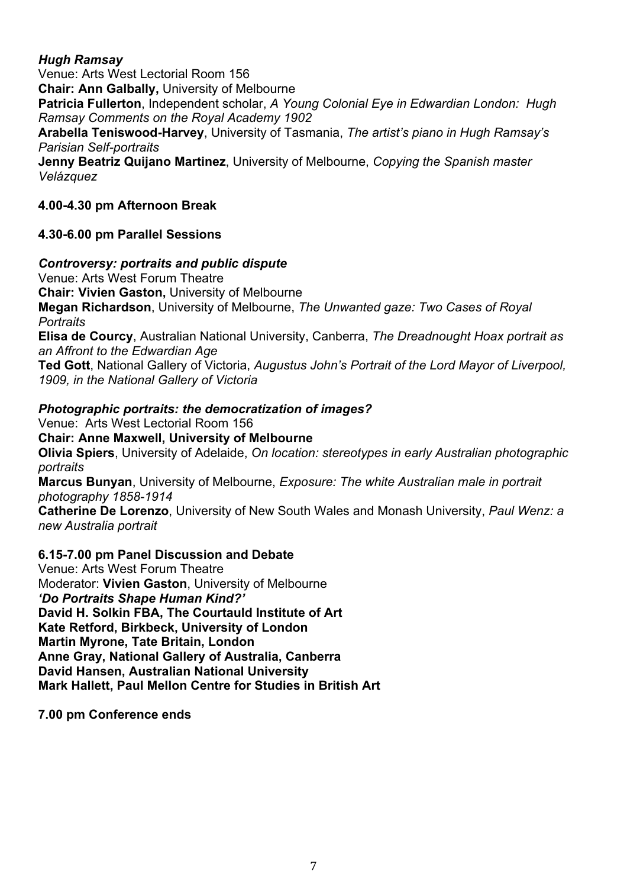#### *Hugh Ramsay*

Venue: Arts West Lectorial Room 156 **Chair: Ann Galbally,** University of Melbourne **Patricia Fullerton**, Independent scholar, *A Young Colonial Eye in Edwardian London: Hugh Ramsay Comments on the Royal Academy 1902* **Arabella Teniswood-Harvey**, University of Tasmania, *The artist's piano in Hugh Ramsay's Parisian Self-portraits* **Jenny Beatriz Quijano Martinez**, University of Melbourne, *Copying the Spanish master Velázquez*

# **4.00-4.30 pm Afternoon Break**

#### **4.30-6.00 pm Parallel Sessions**

#### *Controversy: portraits and public dispute*

Venue: Arts West Forum Theatre

**Chair: Vivien Gaston,** University of Melbourne

**Megan Richardson**, University of Melbourne, *The Unwanted gaze: Two Cases of Royal Portraits* 

**Elisa de Courcy**, Australian National University, Canberra, *The Dreadnought Hoax portrait as an Affront to the Edwardian Age*

**Ted Gott**, National Gallery of Victoria, *Augustus John's Portrait of the Lord Mayor of Liverpool, 1909, in the National Gallery of Victoria*

#### *Photographic portraits: the democratization of images?*

Venue: Arts West Lectorial Room 156

**Chair: Anne Maxwell, University of Melbourne**

**Olivia Spiers**, University of Adelaide, *On location: stereotypes in early Australian photographic portraits*

**Marcus Bunyan**, University of Melbourne, *Exposure: The white Australian male in portrait photography 1858-1914*

**Catherine De Lorenzo**, University of New South Wales and Monash University, *Paul Wenz: a new Australia portrait*

#### **6.15-7.00 pm Panel Discussion and Debate**

Venue: Arts West Forum Theatre Moderator: **Vivien Gaston**, University of Melbourne *'Do Portraits Shape Human Kind?'* **David H. Solkin FBA, The Courtauld Institute of Art Kate Retford, Birkbeck, University of London Martin Myrone, Tate Britain, London Anne Gray, National Gallery of Australia, Canberra David Hansen, Australian National University Mark Hallett, Paul Mellon Centre for Studies in British Art**

**7.00 pm Conference ends**